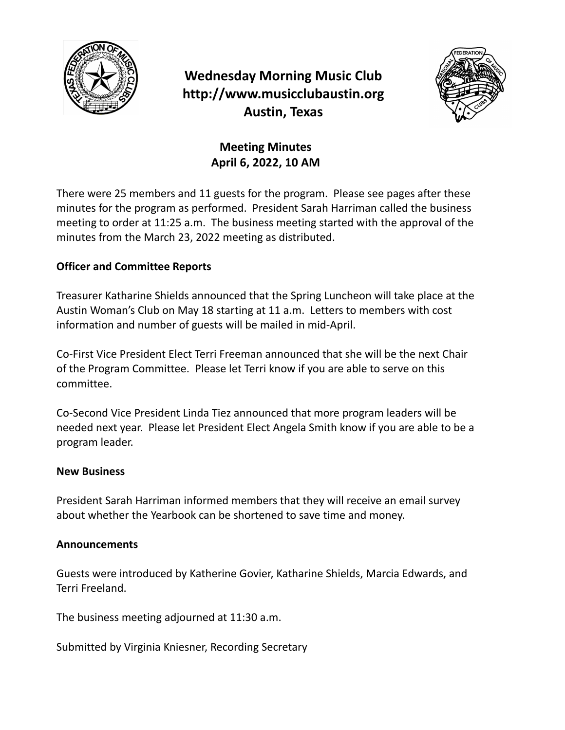

# **Wednesday Morning Music Club http://www.musicclubaustin.org Austin, Texas**



### **Meeting Minutes April 6, 2022, 10 AM**

There were 25 members and 11 guests for the program. Please see pages after these minutes for the program as performed. President Sarah Harriman called the business meeting to order at 11:25 a.m. The business meeting started with the approval of the minutes from the March 23, 2022 meeting as distributed.

### **Officer and Committee Reports**

Treasurer Katharine Shields announced that the Spring Luncheon will take place at the Austin Woman's Club on May 18 starting at 11 a.m. Letters to members with cost information and number of guests will be mailed in mid-April.

Co-First Vice President Elect Terri Freeman announced that she will be the next Chair of the Program Committee. Please let Terri know if you are able to serve on this committee.

Co-Second Vice President Linda Tiez announced that more program leaders will be needed next year. Please let President Elect Angela Smith know if you are able to be a program leader.

#### **New Business**

President Sarah Harriman informed members that they will receive an email survey about whether the Yearbook can be shortened to save time and money.

#### **Announcements**

Guests were introduced by Katherine Govier, Katharine Shields, Marcia Edwards, and Terri Freeland.

The business meeting adjourned at 11:30 a.m.

Submitted by Virginia Kniesner, Recording Secretary